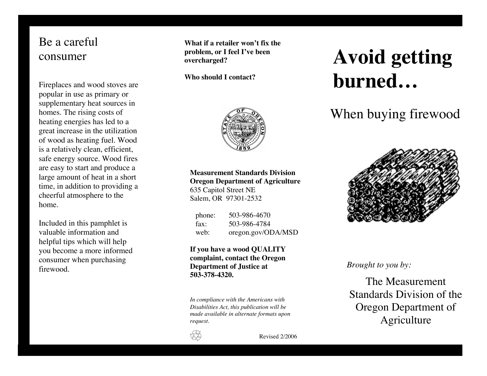### Be a careful consumer

Fireplaces and wood stoves are popular in use as primary or supplementary heat sources in homes. The rising costs of heating energies has led to a great increase in the utilization of wood as heating fuel. Wood is a relatively clean, efficient, safe energy source. Wood fires are easy to start and produce a large amount of heat in a short time, in addition to providing a cheerful atmosphere to the home.

Included in this pamphlet is valuable information and helpful tips which will help you become a more informed consumer when purchasing firewood.

**What if a retailer won't fix the problem, or I feel I've been overcharged?**

**Who should I contact?**



**Measurement Standards Division Oregon Department of Agriculture** 635 Capitol Street NE Salem, OR 97301-2532

phone: 503-986-4670 fax: 503-986-4784 web: oregon.gov/ODA/MSD

**If you have a wood QUALITY complaint, contact the Oregon Department of Justice at 503-378-4320.**

*In compliance with the Americans with Disabilities Act, this publication will be made available in alternate formats upon request.*



Revised 2/2006

# **Avoid getting burned…**

When buying firewood



*Brought to you by:*

The Measurement Standards Division of the Oregon Department of **Agriculture**